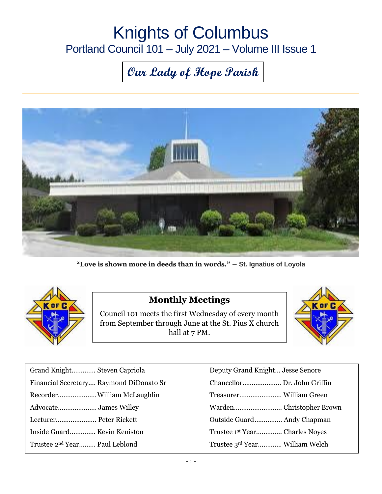## Knights of Columbus Portland Council 101 – July 2021 – Volume III Issue 1

# **Our Lady of Hope Parish**



**"Love is shown more in deeds than in words."** ― **St. Ignatius of Loyola**



#### **Monthly Meetings**

Council 101 meets the first Wednesday of every month from September through June at the St. Pius X church hall at 7 PM.



| Grand Knight Steven Capriola              | Deputy Grand Knight Jesse Senore |
|-------------------------------------------|----------------------------------|
| Financial Secretary Raymond DiDonato Sr   |                                  |
|                                           |                                  |
|                                           |                                  |
| Lecturer Peter Rickett                    | Outside Guard Andy Chapman       |
| Inside Guard Kevin Keniston               | Trustee 1st Year Charles Noyes   |
| Trustee 2 <sup>nd</sup> Year Paul Leblond | Trustee 3rd Year William Welch   |

| Deputy Grand Knight Jesse Senore |  |
|----------------------------------|--|
|                                  |  |
|                                  |  |
|                                  |  |
| Outside Guard Andy Chapman       |  |
| Trustee 1st Year Charles Noyes   |  |
| Trustee 3rd Year William Welch   |  |
|                                  |  |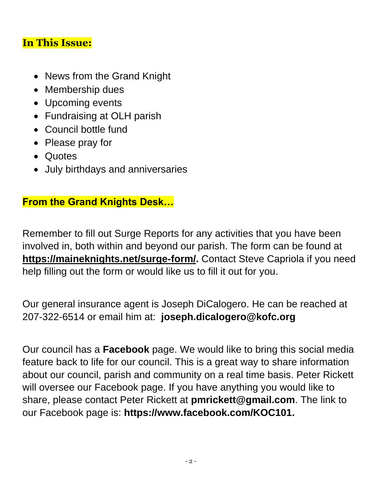#### **In This Issue:**

- News from the Grand Knight
- Membership dues
- Upcoming events
- Fundraising at OLH parish
- Council bottle fund
- Please pray for
- Quotes
- July birthdays and anniversaries

#### **From the Grand Knights Desk…**

Remember to fill out Surge Reports for any activities that you have been involved in, both within and beyond our parish. The form can be found at **[https://maineknights.net/surge-form/.](https://maineknights.net/surge-form/)** Contact Steve Capriola if you need help filling out the form or would like us to fill it out for you.

Our general insurance agent is Joseph DiCalogero. He can be reached at 207-322-6514 or email him at: **joseph.dicalogero@kofc.org**

Our council has a **Facebook** page. We would like to bring this social media feature back to life for our council. This is a great way to share information about our council, parish and community on a real time basis. Peter Rickett will oversee our Facebook page. If you have anything you would like to share, please contact Peter Rickett at **[pmrickett@gmail.com](mailto:pmrickett@gmail.com)**. The link to our Facebook page is: **https://www.facebook.com/KOC101.**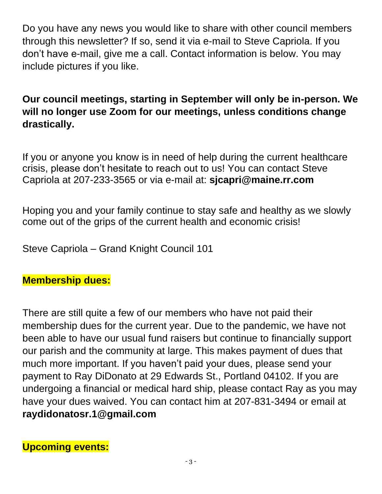Do you have any news you would like to share with other council members through this newsletter? If so, send it via e-mail to Steve Capriola. If you don't have e-mail, give me a call. Contact information is below. You may include pictures if you like.

### **Our council meetings, starting in September will only be in-person. We will no longer use Zoom for our meetings, unless conditions change drastically.**

If you or anyone you know is in need of help during the current healthcare crisis, please don't hesitate to reach out to us! You can contact Steve Capriola at 207-233-3565 or via e-mail at: **[sjcapri@maine.rr.com](mailto:sjcapri@maine.rr.com)**

Hoping you and your family continue to stay safe and healthy as we slowly come out of the grips of the current health and economic crisis!

Steve Capriola – Grand Knight Council 101

#### **Membership dues:**

There are still quite a few of our members who have not paid their membership dues for the current year. Due to the pandemic, we have not been able to have our usual fund raisers but continue to financially support our parish and the community at large. This makes payment of dues that much more important. If you haven't paid your dues, please send your payment to Ray DiDonato at 29 Edwards St., Portland 04102. If you are undergoing a financial or medical hard ship, please contact Ray as you may have your dues waived. You can contact him at 207-831-3494 or email at **[raydidonatosr.1@gmail.com](mailto:raydidonatosr.1@gmail.com)**

**Upcoming events:**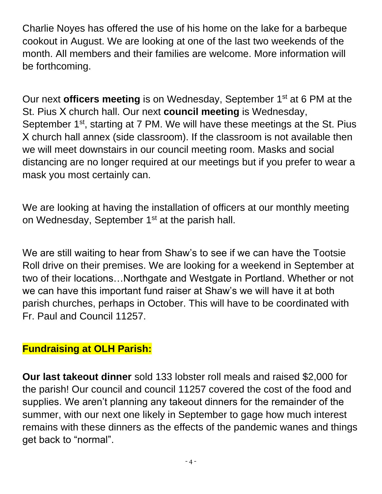Charlie Noyes has offered the use of his home on the lake for a barbeque cookout in August. We are looking at one of the last two weekends of the month. All members and their families are welcome. More information will be forthcoming.

Our next **officers meeting** is on Wednesday, September 1<sup>st</sup> at 6 PM at the St. Pius X church hall. Our next **council meeting** is Wednesday, September 1<sup>st</sup>, starting at 7 PM. We will have these meetings at the St. Pius X church hall annex (side classroom). If the classroom is not available then we will meet downstairs in our council meeting room. Masks and social distancing are no longer required at our meetings but if you prefer to wear a mask you most certainly can.

We are looking at having the installation of officers at our monthly meeting on Wednesday, September 1<sup>st</sup> at the parish hall.

We are still waiting to hear from Shaw's to see if we can have the Tootsie Roll drive on their premises. We are looking for a weekend in September at two of their locations…Northgate and Westgate in Portland. Whether or not we can have this important fund raiser at Shaw's we will have it at both parish churches, perhaps in October. This will have to be coordinated with Fr. Paul and Council 11257.

#### **Fundraising at OLH Parish:**

**Our last takeout dinner** sold 133 lobster roll meals and raised \$2,000 for the parish! Our council and council 11257 covered the cost of the food and supplies. We aren't planning any takeout dinners for the remainder of the summer, with our next one likely in September to gage how much interest remains with these dinners as the effects of the pandemic wanes and things get back to "normal".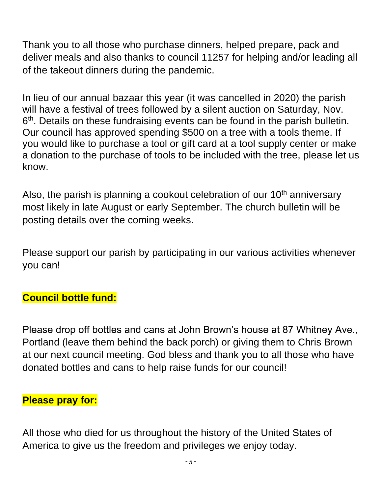Thank you to all those who purchase dinners, helped prepare, pack and deliver meals and also thanks to council 11257 for helping and/or leading all of the takeout dinners during the pandemic.

In lieu of our annual bazaar this year (it was cancelled in 2020) the parish will have a festival of trees followed by a silent auction on Saturday, Nov. 6<sup>th</sup>. Details on these fundraising events can be found in the parish bulletin. Our council has approved spending \$500 on a tree with a tools theme. If you would like to purchase a tool or gift card at a tool supply center or make a donation to the purchase of tools to be included with the tree, please let us know.

Also, the parish is planning a cookout celebration of our  $10<sup>th</sup>$  anniversary most likely in late August or early September. The church bulletin will be posting details over the coming weeks.

Please support our parish by participating in our various activities whenever you can!

### **Council bottle fund:**

Please drop off bottles and cans at John Brown's house at 87 Whitney Ave., Portland (leave them behind the back porch) or giving them to Chris Brown at our next council meeting. God bless and thank you to all those who have donated bottles and cans to help raise funds for our council!

#### **Please pray for:**

All those who died for us throughout the history of the United States of America to give us the freedom and privileges we enjoy today.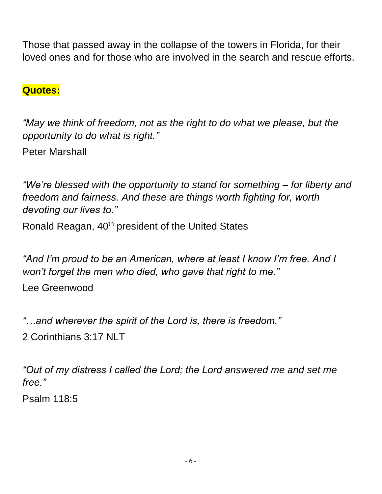Those that passed away in the collapse of the towers in Florida, for their loved ones and for those who are involved in the search and rescue efforts.

#### **Quotes:**

*"May we think of freedom, not as the right to do what we please, but the opportunity to do what is right."*

Peter Marshall

*"We're blessed with the opportunity to stand for something – for liberty and freedom and fairness. And these are things worth fighting for, worth devoting our lives to."*

Ronald Reagan, 40<sup>th</sup> president of the United States

*"And I'm proud to be an American, where at least I know I'm free. And I won't forget the men who died, who gave that right to me."*

Lee Greenwood

*"…and wherever the spirit of the Lord is, there is freedom."* 2 Corinthians 3:17 NLT

*"Out of my distress I called the Lord; the Lord answered me and set me free."*

Psalm 118:5